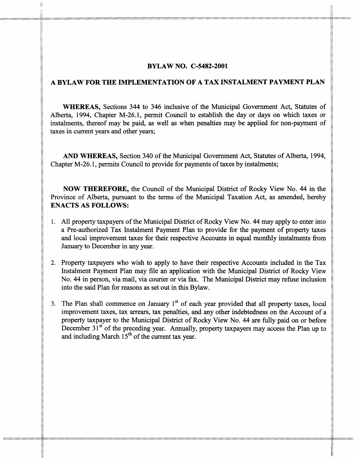## **BYLAW NO. C-5482-2001**

## **A BYLAW FOR THE IMPLEMENTATION OF A TAX INSTALMENT PAYMENT PLAN**

**WHEREAS,** Sections 344 to 346 inclusive of the Municipal Government Act, Statutes of Alberta, 1994, Chapter M-26.1, permit Council to establish the day or days on which taxes or instalments, thereof may be paid, as well as when penalties may be applied for non-payment of taxes in current years and other years;

**AND WHEREAS,** Section 340 of the Municipal Government Act, Statutes of Alberta, 1994, Chapter M-26.1, permits Council to provide for payments of taxes by instalments;

**NOW THEREFORE,** the Council of the Municipal District of Rocky View No. 44 in the Province of Alberta, pursuant to the terms of the Municipal Taxation Act, as amended, herehy **ENACTS AS FOLLOWS:** 

- 1. All property taxpayers of the Municipal District of Rocky View No. 44 may apply to enter into a Pre-authorized Tax Instalment Payment Plan to provide for the payment of property taxes and local improvement taxes for their respective Accounts in equal monthly instalments fiom January to December in any year.
- 2. Property taxpayers who wish to apply to have their respective Accounts included in the Tax Instalment Payment Plan may file **an** application with the Municipal District of Rocky View No. 44 in person, via mail, via courier or via fax. The Municipal District may refuse inclusion into the said Plan for reasons as set out in this Bylaw.
- 3. The Plan shall commence on January 1<sup>st</sup> of each year provided that all property taxes, local improvement taxes, tax arrears, tax penalties, and any other indebtedness on the Account of a property taxpayer to the Municipal District of Rocky View No. 44 are fully paid on or before December  $31<sup>st</sup>$  of the preceding year. Annually, property taxpayers may access the Plan up to and including March  $15<sup>th</sup>$  of the current tax year.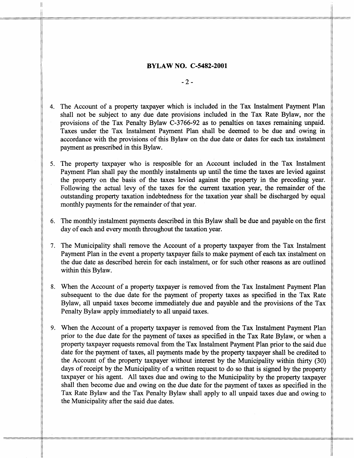## **BYLAW NO. C-5482-2001**

-2-

- 4. The Account of a property taxpayer which is included in the Tax Instalment Payment Plan shall not be subject to any due date provisions included in the Tax Rate Bylaw, nor the provisions of the Tax Penalty Bylaw C-3766-92 as to penalties on taxes remaining unpaid. Taxes under the Tax Instalment Payment Plan shall be deemed to be due and owing in accordance with the provisions of this Bylaw on the due date or dates for each tax instalment payment as prescribed in this Bylaw.
- 5. The property taxpayer who is resposible for an Account included in the Tax Instalment Payment Plan shall pay the monthly instalments up until the time the taxes are levied against the property on the basis of the taxes levied against the property in the preceding year. Following the actual levy of the taxes for the current taxation year, the remainder of the outstanding property taxation indebtedness for the taxation year shall be discharged by equal monthly payments for the remainder of that year.
- *6.*  The monthly instalment payments described in this Bylaw shall be due and payable on the first day of each and every month throughout the taxation year.
- *7.*  The Municipality shall remove the Account of a property taxpayer fiom the Tax Instalment Payment Plan in the event a property taxpayer fails to make payment of each tax instalment on the due date as described herein for each instalment, or for such other reasons **as** are outlined within this Bylaw.
- 8. When the Account of a property taxpayer is removed from the Tax Instalment Payment Plan subsequent to the due date for the payment of property taxes as specified in the Tax Rate Bylaw, all unpaid taxes become immediately due and payable and the provisions of the Tax Penalty Bylaw apply immediately to all unpaid taxes.
- 9. When the Account of a property taxpayer is removed fiom the Tax Instalment Payment Plan prior to the due date for the payment of taxes as specified in the Tax Rate Bylaw, or when a property taxpayer requests removal fiom the Tax Instalment Payment Plan prior to the said due date for the payment of taxes, all payments made by the property taxpayer shall be credited to the Account of the property taxpayer without interest by the Municipality within thirty (30) days of receipt by the Municipality of a written request to do so that is signed by the property taxpayer or his agent. All taxes due and owing to the Municipality by the property taxpayer shall then become due and owing on the due date for the payment of taxes as specified in the Tax Rate Bylaw and the Tax Penalty Bylaw shall apply to all unpaid taxes due and owing to the Municipality after the said due dates.